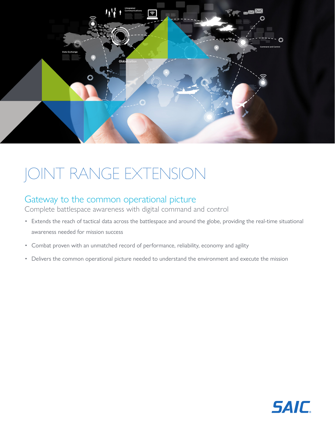

# JOINT RANGE EXTENSION

## Gateway to the common operational picture

Complete battlespace awareness with digital command and control

- Extends the reach of tactical data across the battlespace and around the globe, providing the real-time situational awareness needed for mission success
- Combat proven with an unmatched record of performance, reliability, economy and agility
- Delivers the common operational picture needed to understand the environment and execute the mission